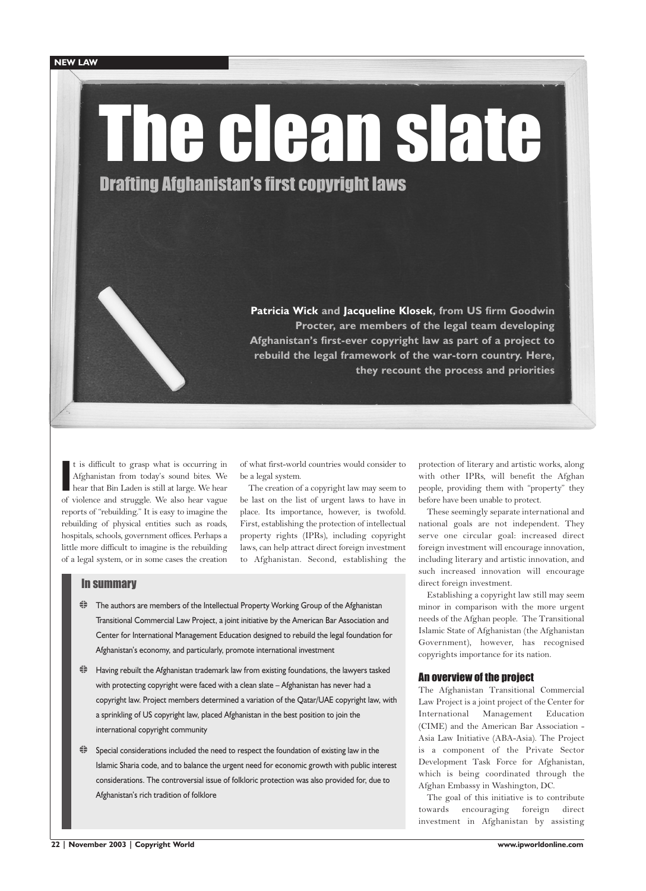# The clean slate

Drafting Afghanistan's first copyright laws

**Patricia Wick and Jacqueline Klosek, from US firm Goodwin Procter, are members of the legal team developing Afghanistan's first-ever copyright law as part of a project to rebuild the legal framework of the war-torn country. Here, they recount the process and priorities**

I t is difficult to grasp what is occurring in Afghanistan from today's sound bites. We hear that Bin Laden is still at large. We hear of violence and struggle. We also hear vague reports of "rebuilding." It is easy to imagine the rebuilding of physical entities such as roads, hospitals, schools, government offices. Perhaps a little more difficult to imagine is the rebuilding of a legal system, or in some cases the creation of what first-world countries would consider to be a legal system.

The creation of a copyright law may seem to be last on the list of urgent laws to have in place. Its importance, however, is twofold. First, establishing the protection of intellectual property rights (IPRs), including copyright laws, can help attract direct foreign investment to Afghanistan. Second, establishing the

# In summary

- ₹ The authors are members of the Intellectual Property Working Group of the Afghanistan Transitional Commercial Law Project, a joint initiative by the American Bar Association and Center for International Management Education designed to rebuild the legal foundation for Afghanistan's economy, and particularly, promote international investment
- $\ddot{\equiv}$  Having rebuilt the Afghanistan trademark law from existing foundations, the lawyers tasked with protecting copyright were faced with a clean slate – Afghanistan has never had a copyright law. Project members determined a variation of the Qatar/UAE copyright law, with a sprinkling of US copyright law, placed Afghanistan in the best position to join the international copyright community
- $\ddot{\equiv}$  Special considerations included the need to respect the foundation of existing law in the Islamic Sharia code, and to balance the urgent need for economic growth with public interest considerations. The controversial issue of folkloric protection was also provided for, due to Afghanistan's rich tradition of folklore

protection of literary and artistic works, along with other IPRs, will benefit the Afghan people, providing them with "property" they before have been unable to protect.

These seemingly separate international and national goals are not independent. They serve one circular goal: increased direct foreign investment will encourage innovation, including literary and artistic innovation, and such increased innovation will encourage direct foreign investment.

Establishing a copyright law still may seem minor in comparison with the more urgent needs of the Afghan people. The Transitional Islamic State of Afghanistan (the Afghanistan Government), however, has recognised copyrights importance for its nation.

# An overview of the project

The Afghanistan Transitional Commercial Law Project is a joint project of the Center for International Management Education (CIME) and the American Bar Association - Asia Law Initiative (ABA-Asia). The Project is a component of the Private Sector Development Task Force for Afghanistan, which is being coordinated through the Afghan Embassy in Washington, DC.

The goal of this initiative is to contribute towards encouraging foreign direct investment in Afghanistan by assisting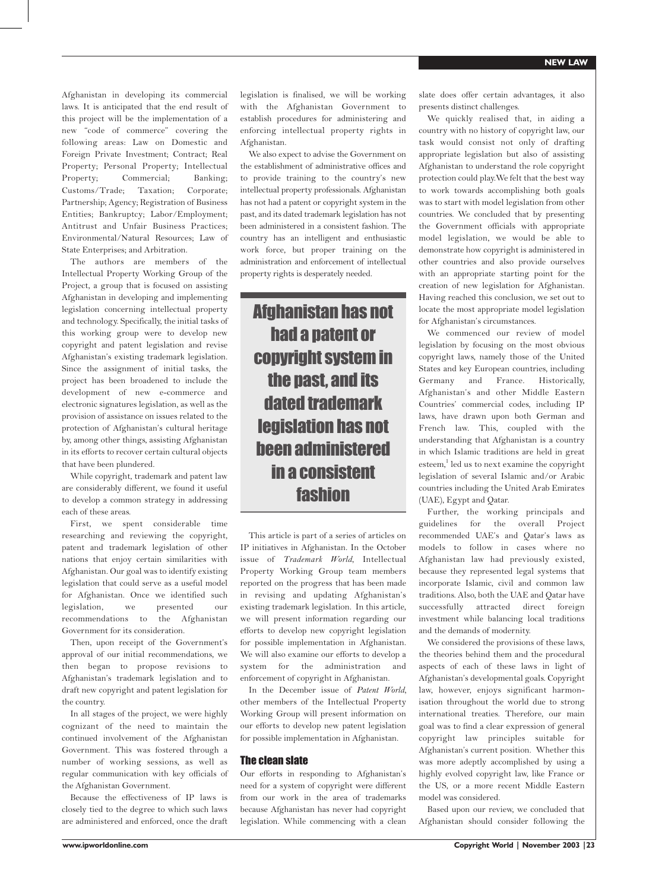Afghanistan in developing its commercial laws. It is anticipated that the end result of this project will be the implementation of a new "code of commerce" covering the following areas: Law on Domestic and Foreign Private Investment; Contract; Real Property; Personal Property; Intellectual Property; Commercial; Banking; Customs/Trade; Taxation; Corporate; Partnership; Agency; Registration of Business Entities; Bankruptcy; Labor/Employment; Antitrust and Unfair Business Practices; Environmental/Natural Resources; Law of State Enterprises; and Arbitration.

The authors are members of the Intellectual Property Working Group of the Project, a group that is focused on assisting Afghanistan in developing and implementing legislation concerning intellectual property and technology. Specifically, the initial tasks of this working group were to develop new copyright and patent legislation and revise Afghanistan's existing trademark legislation. Since the assignment of initial tasks, the project has been broadened to include the development of new e-commerce and electronic signatures legislation, as well as the provision of assistance on issues related to the protection of Afghanistan's cultural heritage by, among other things, assisting Afghanistan in its efforts to recover certain cultural objects that have been plundered.

While copyright, trademark and patent law are considerably different, we found it useful to develop a common strategy in addressing each of these areas.

First, we spent considerable time researching and reviewing the copyright, patent and trademark legislation of other nations that enjoy certain similarities with Afghanistan. Our goal was to identify existing legislation that could serve as a useful model for Afghanistan. Once we identified such legislation, we presented our recommendations to the Afghanistan Government for its consideration.

Then, upon receipt of the Government's approval of our initial recommendations, we then began to propose revisions to Afghanistan's trademark legislation and to draft new copyright and patent legislation for the country.

In all stages of the project, we were highly cognizant of the need to maintain the continued involvement of the Afghanistan Government. This was fostered through a number of working sessions, as well as regular communication with key officials of the Afghanistan Government.

Because the effectiveness of IP laws is closely tied to the degree to which such laws are administered and enforced, once the draft legislation is finalised, we will be working with the Afghanistan Government to establish procedures for administering and enforcing intellectual property rights in Afghanistan.

We also expect to advise the Government on the establishment of administrative offices and to provide training to the country's new intellectual property professionals. Afghanistan has not had a patent or copyright system in the past, and its dated trademark legislation has not been administered in a consistent fashion. The country has an intelligent and enthusiastic work force, but proper training on the administration and enforcement of intellectual property rights is desperately needed.

Afghanistan has not had a patent or copyright system in the past, and its dated trademark legislation has not been administered in a consistent fashion

This article is part of a series of articles on IP initiatives in Afghanistan. In the October issue of *Trademark World*, Intellectual Property Working Group team members reported on the progress that has been made in revising and updating Afghanistan's existing trademark legislation. In this article, we will present information regarding our efforts to develop new copyright legislation for possible implementation in Afghanistan. We will also examine our efforts to develop a system for the administration and enforcement of copyright in Afghanistan.

In the December issue of *Patent World,* other members of the Intellectual Property Working Group will present information on our efforts to develop new patent legislation for possible implementation in Afghanistan.

# The clean slate

Our efforts in responding to Afghanistan's need for a system of copyright were different from our work in the area of trademarks because Afghanistan has never had copyright legislation. While commencing with a clean slate does offer certain advantages, it also presents distinct challenges.

We quickly realised that, in aiding a country with no history of copyright law, our task would consist not only of drafting appropriate legislation but also of assisting Afghanistan to understand the role copyright protection could play.We felt that the best way to work towards accomplishing both goals was to start with model legislation from other countries. We concluded that by presenting the Government officials with appropriate model legislation, we would be able to demonstrate how copyright is administered in other countries and also provide ourselves with an appropriate starting point for the creation of new legislation for Afghanistan. Having reached this conclusion, we set out to locate the most appropriate model legislation for Afghanistan's circumstances.

We commenced our review of model legislation by focusing on the most obvious copyright laws, namely those of the United States and key European countries, including Germany and France. Historically, Afghanistan's and other Middle Eastern Countries' commercial codes, including IP laws, have drawn upon both German and French law. This, coupled with the understanding that Afghanistan is a country in which Islamic traditions are held in great esteem,<sup>1</sup> led us to next examine the copyright legislation of several Islamic and/or Arabic countries including the United Arab Emirates (UAE), Egypt and Qatar.

Further, the working principals and guidelines for the overall Project recommended UAE's and Qatar's laws as models to follow in cases where no Afghanistan law had previously existed, because they represented legal systems that incorporate Islamic, civil and common law traditions. Also, both the UAE and Qatar have successfully attracted direct foreign investment while balancing local traditions and the demands of modernity.

We considered the provisions of these laws, the theories behind them and the procedural aspects of each of these laws in light of Afghanistan's developmental goals. Copyright law, however, enjoys significant harmonisation throughout the world due to strong international treaties. Therefore, our main goal was to find a clear expression of general copyright law principles suitable for Afghanistan's current position. Whether this was more adeptly accomplished by using a highly evolved copyright law, like France or the US, or a more recent Middle Eastern model was considered.

Based upon our review, we concluded that Afghanistan should consider following the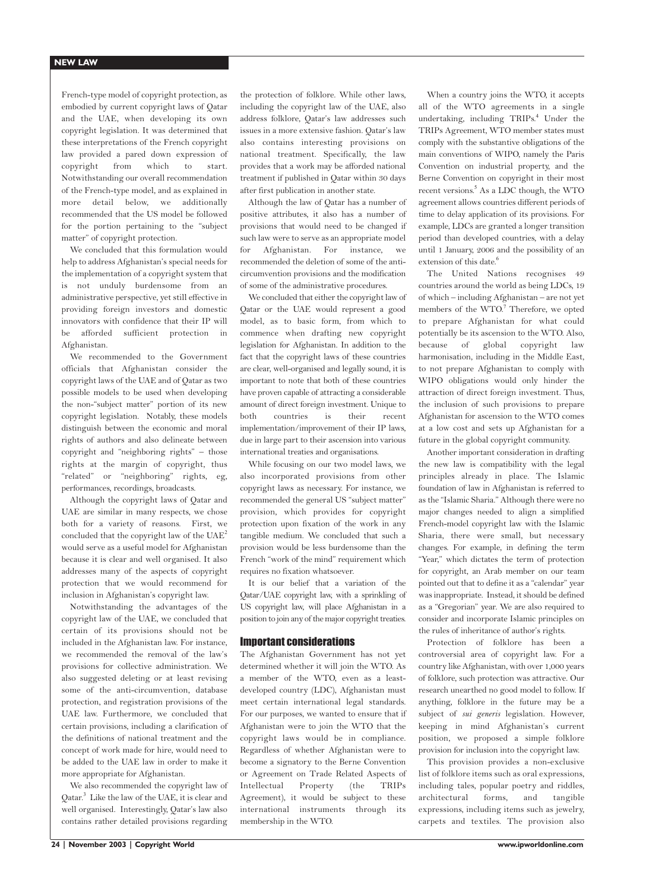French-type model of copyright protection, as embodied by current copyright laws of Qatar and the UAE, when developing its own copyright legislation. It was determined that these interpretations of the French copyright law provided a pared down expression of copyright from which to start. Notwithstanding our overall recommendation of the French-type model, and as explained in more detail below, we additionally recommended that the US model be followed for the portion pertaining to the "subject matter" of copyright protection.

We concluded that this formulation would help to address Afghanistan's special needs for the implementation of a copyright system that is not unduly burdensome from an administrative perspective, yet still effective in providing foreign investors and domestic innovators with confidence that their IP will be afforded sufficient protection in Afghanistan.

We recommended to the Government officials that Afghanistan consider the copyright laws of the UAE and of Qatar as two possible models to be used when developing the non-"subject matter" portion of its new copyright legislation. Notably, these models distinguish between the economic and moral rights of authors and also delineate between copyright and "neighboring rights" – those rights at the margin of copyright, thus "related" or "neighboring" rights, eg, performances, recordings, broadcasts.

Although the copyright laws of Qatar and UAE are similar in many respects, we chose both for a variety of reasons. First, we concluded that the copyright law of the UAE<sup>2</sup> would serve as a useful model for Afghanistan because it is clear and well organised. It also addresses many of the aspects of copyright protection that we would recommend for inclusion in Afghanistan's copyright law.

Notwithstanding the advantages of the copyright law of the UAE, we concluded that certain of its provisions should not be included in the Afghanistan law. For instance, we recommended the removal of the law's provisions for collective administration. We also suggested deleting or at least revising some of the anti-circumvention, database protection, and registration provisions of the UAE law. Furthermore, we concluded that certain provisions, including a clarification of the definitions of national treatment and the concept of work made for hire, would need to be added to the UAE law in order to make it more appropriate for Afghanistan.

We also recommended the copyright law of Qatar.<sup>3</sup> Like the law of the UAE, it is clear and well organised. Interestingly, Qatar's law also contains rather detailed provisions regarding

the protection of folklore. While other laws, including the copyright law of the UAE, also address folklore, Qatar's law addresses such issues in a more extensive fashion. Qatar's law also contains interesting provisions on national treatment. Specifically, the law provides that a work may be afforded national treatment if published in Qatar within 30 days after first publication in another state.

Although the law of Qatar has a number of positive attributes, it also has a number of provisions that would need to be changed if such law were to serve as an appropriate model for Afghanistan. For instance, we recommended the deletion of some of the anticircumvention provisions and the modification of some of the administrative procedures.

We concluded that either the copyright law of Qatar or the UAE would represent a good model, as to basic form, from which to commence when drafting new copyright legislation for Afghanistan. In addition to the fact that the copyright laws of these countries are clear, well-organised and legally sound, it is important to note that both of these countries have proven capable of attracting a considerable amount of direct foreign investment. Unique to both countries is their recent implementation/improvement of their IP laws, due in large part to their ascension into various international treaties and organisations.

While focusing on our two model laws, we also incorporated provisions from other copyright laws as necessary. For instance, we recommended the general US "subject matter" provision, which provides for copyright protection upon fixation of the work in any tangible medium. We concluded that such a provision would be less burdensome than the French "work of the mind" requirement which requires no fixation whatsoever.

It is our belief that a variation of the Qatar/UAE copyright law, with a sprinkling of US copyright law, will place Afghanistan in a position to join any of the major copyright treaties.

## Important considerations

The Afghanistan Government has not yet determined whether it will join the WTO. As a member of the WTO, even as a leastdeveloped country (LDC), Afghanistan must meet certain international legal standards. For our purposes, we wanted to ensure that if Afghanistan were to join the WTO that the copyright laws would be in compliance. Regardless of whether Afghanistan were to become a signatory to the Berne Convention or Agreement on Trade Related Aspects of Intellectual Property (the TRIPs Agreement), it would be subject to these international instruments through its membership in the WTO.

When a country joins the WTO, it accepts all of the WTO agreements in a single undertaking, including TRIPs.<sup>4</sup> Under the TRIPs Agreement, WTO member states must comply with the substantive obligations of the main conventions of WIPO, namely the Paris Convention on industrial property, and the Berne Convention on copyright in their most recent versions.<sup>5</sup> As a LDC though, the WTO agreement allows countries different periods of time to delay application of its provisions. For example, LDCs are granted a longer transition period than developed countries, with a delay until 1 January, 2006 and the possibility of an extension of this date.<sup>6</sup>

The United Nations recognises 49 countries around the world as being LDCs, 19 of which – including Afghanistan – are not yet members of the WTO.<sup>7</sup> Therefore, we opted to prepare Afghanistan for what could potentially be its ascension to the WTO. Also, because of global copyright law harmonisation, including in the Middle East, to not prepare Afghanistan to comply with WIPO obligations would only hinder the attraction of direct foreign investment. Thus, the inclusion of such provisions to prepare Afghanistan for ascension to the WTO comes at a low cost and sets up Afghanistan for a future in the global copyright community.

Another important consideration in drafting the new law is compatibility with the legal principles already in place. The Islamic foundation of law in Afghanistan is referred to as the "Islamic Sharia." Although there were no major changes needed to align a simplified French-model copyright law with the Islamic Sharia, there were small, but necessary changes. For example, in defining the term "Year," which dictates the term of protection for copyright, an Arab member on our team pointed out that to define it as a "calendar" year was inappropriate. Instead, it should be defined as a "Gregorian" year. We are also required to consider and incorporate Islamic principles on the rules of inheritance of author's rights.

Protection of folklore has been a controversial area of copyright law. For a country like Afghanistan, with over 1,000 years of folklore, such protection was attractive. Our research unearthed no good model to follow. If anything, folklore in the future may be a subject of *sui generis* legislation. However, keeping in mind Afghanistan's current position, we proposed a simple folklore provision for inclusion into the copyright law.

This provision provides a non-exclusive list of folklore items such as oral expressions, including tales, popular poetry and riddles, architectural forms, and tangible expressions, including items such as jewelry, carpets and textiles. The provision also